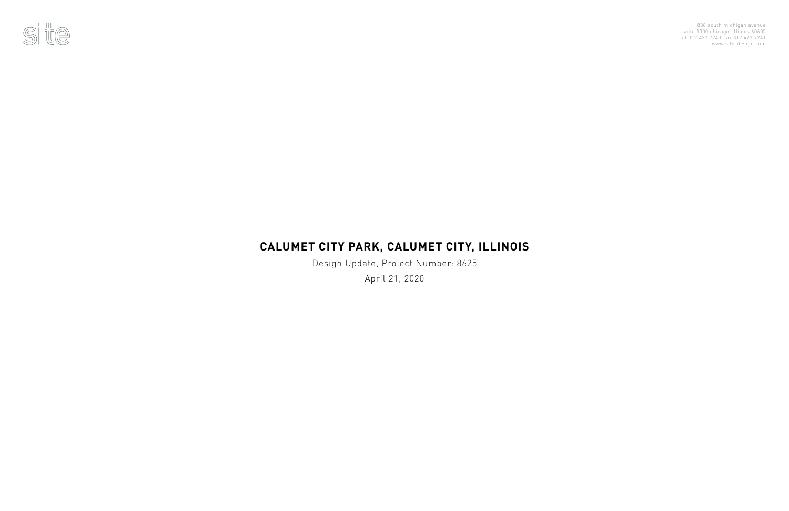

## **CALUMET CITY PARK, CALUMET CITY, ILLINOIS**

Design Update, Project Number: 8625 April 21, 2020

888 south michigan avenue suite 1000 chicago, illinois 60605 tel 312.427.7240 fax 312.427.7241 www.site-design.com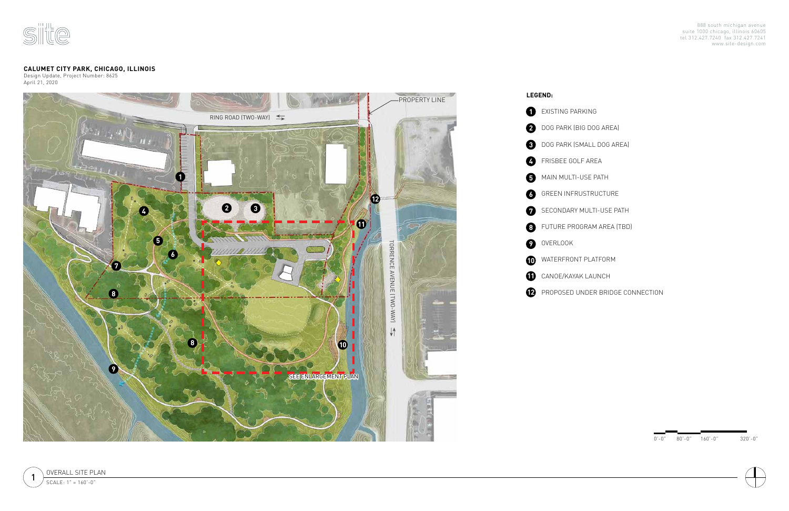



PROPOSED UNDER BRIDGE CONNECTION

0'-0" 80'-0" 160'-0" 320'-0"





## **CALUMET CITY PARK, CHICAGO, ILLINOIS**

Design Update, Project Number: 8625 April 21, 2020

888 south michigan avenue suite 1000 chicago, illinois 60605 tel 312.427.7240 fax 312.427.7241 www.site-design.com